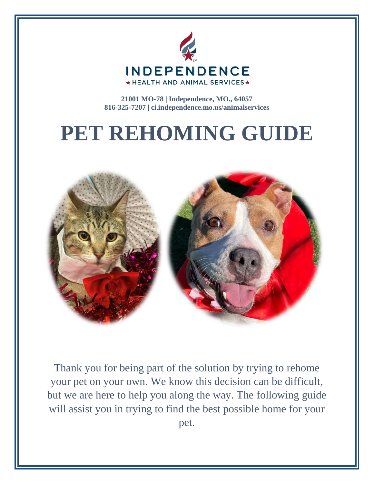

**21001 MO-78 | Independence, MO., 64057 816-325-7207 | ci.independence.mo.us/animalservices**

# **PET REHOMING GUIDE**



Thank you for being part of the solution by trying to rehome your pet on your own. We know this decision can be difficult, but we are here to help you along the way. The following guide will assist you in trying to find the best possible home for your pet.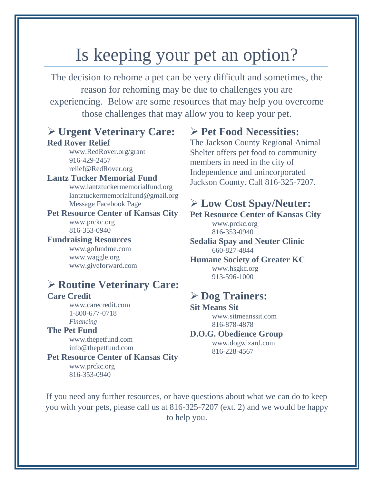### Is keeping your pet an option?

The decision to rehome a pet can be very difficult and sometimes, the reason for rehoming may be due to challenges you are experiencing. Below are some resources that may help you overcome those challenges that may allow you to keep your pet.

#### **Urgent Veterinary Care: Red Rover Relief**

[www.RedRover.org/grant](http://www.redrover.org/grant) 916-429-2457 [relief@RedRover.org](mailto:relief@RedRover.org)

**Lantz Tucker Memorial Fund** [www.lantztuckermemorialfund.org](http://www.lantztuckermemorialfund.org/) [lantztuckermemorialfund@gmail.org](mailto:lantztuckermemorialfund@gmail.org) Message Facebook Page

**Pet Resource Center of Kansas City** [www.prckc.org](http://www.prckc.org/) 816-353-0940

**Fundraising Resources**

[www.gofundme.com](http://www.gofundme.com/) [www.waggle.org](http://www.waggle.org/) [www.giveforward.com](http://www.giveforward.com/)

#### **Routine Veterinary Care:**

#### **Care Credit**

[www.carecredit.com](http://www.carecredit.com/) 1-800-677-0718 *Financing*

#### **The Pet Fund**

[www.thepetfund.com](http://www.thepetfund.com/) [info@thepetfund.com](mailto:info@thepetfund.com)

#### **Pet Resource Center of Kansas City**

[www.prckc.org](http://www.prckc.org/) 816-353-0940

#### **Pet Food Necessities:**

The Jackson County Regional Animal Shelter offers pet food to community members in need in the city of Independence and unincorporated Jackson County. Call 816-325-7207.

#### **Low Cost Spay/Neuter:**

**Pet Resource Center of Kansas City**  [www.prckc.org](http://www.prckc.org/)

816-353-0940

**Sedalia Spay and Neuter Clinic** 660-827-4844

**Humane Society of Greater KC** www.hsgkc.org 913-596-1000

#### **Dog Trainers:**

**Sit Means Sit** 

[www.sitmeanssit.com](http://www.sitmeanssit.com/) 816-878-4878

#### **D.O.G. Obedience Group**

[www.dogwizard.com](http://www.dogwizard.com/) 816-228-4567

If you need any further resources, or have questions about what we can do to keep you with your pets, please call us at 816-325-7207 (ext. 2) and we would be happy to help you.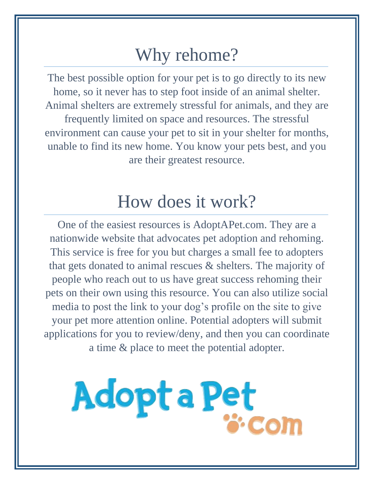### Why rehome?

The best possible option for your pet is to go directly to its new home, so it never has to step foot inside of an animal shelter. Animal shelters are extremely stressful for animals, and they are frequently limited on space and resources. The stressful environment can cause your pet to sit in your shelter for months, unable to find its new home. You know your pets best, and you are their greatest resource.

## How does it work?

One of the easiest resources is AdoptAPet.com. They are a nationwide website that advocates pet adoption and rehoming. This service is free for you but charges a small fee to adopters that gets donated to animal rescues & shelters. The majority of people who reach out to us have great success rehoming their pets on their own using this resource. You can also utilize social media to post the link to your dog's profile on the site to give your pet more attention online. Potential adopters will submit applications for you to review/deny, and then you can coordinate a time & place to meet the potential adopter.

# Adopt a Pet **Com**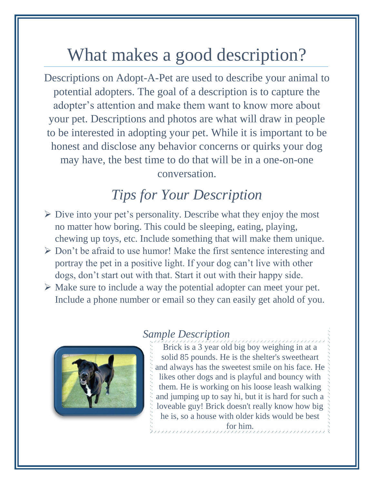# What makes a good description?

Descriptions on Adopt-A-Pet are used to describe your animal to potential adopters. The goal of a description is to capture the adopter's attention and make them want to know more about your pet. Descriptions and photos are what will draw in people to be interested in adopting your pet. While it is important to be honest and disclose any behavior concerns or quirks your dog may have, the best time to do that will be in a one-on-one conversation.

#### *Tips for Your Description*

- $\triangleright$  Dive into your pet's personality. Describe what they enjoy the most no matter how boring. This could be sleeping, eating, playing, chewing up toys, etc. Include something that will make them unique.
- $\triangleright$  Don't be afraid to use humor! Make the first sentence interesting and portray the pet in a positive light. If your dog can't live with other dogs, don't start out with that. Start it out with their happy side.
- $\triangleright$  Make sure to include a way the potential adopter can meet your pet. Include a phone number or email so they can easily get ahold of you.



#### *Sample Description*

Brick is a 3 year old big boy weighing in at a solid 85 pounds. He is the shelter's sweetheart and always has the sweetest smile on his face. He likes other dogs and is playful and bouncy with them. He is working on his loose leash walking and jumping up to say hi, but it is hard for such a loveable guy! Brick doesn't really know how big he is, so a house with older kids would be best for him.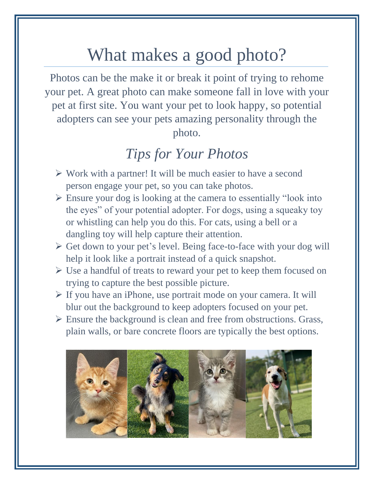# What makes a good photo?

Photos can be the make it or break it point of trying to rehome your pet. A great photo can make someone fall in love with your pet at first site. You want your pet to look happy, so potential adopters can see your pets amazing personality through the photo.

#### *Tips for Your Photos*

- $\triangleright$  Work with a partner! It will be much easier to have a second person engage your pet, so you can take photos.
- Ensure your dog is looking at the camera to essentially "look into the eyes" of your potential adopter. For dogs, using a squeaky toy or whistling can help you do this. For cats, using a bell or a dangling toy will help capture their attention.
- $\triangleright$  Get down to your pet's level. Being face-to-face with your dog will help it look like a portrait instead of a quick snapshot.
- $\triangleright$  Use a handful of treats to reward your pet to keep them focused on trying to capture the best possible picture.
- If you have an iPhone, use portrait mode on your camera. It will blur out the background to keep adopters focused on your pet.
- $\triangleright$  Ensure the background is clean and free from obstructions. Grass, plain walls, or bare concrete floors are typically the best options.

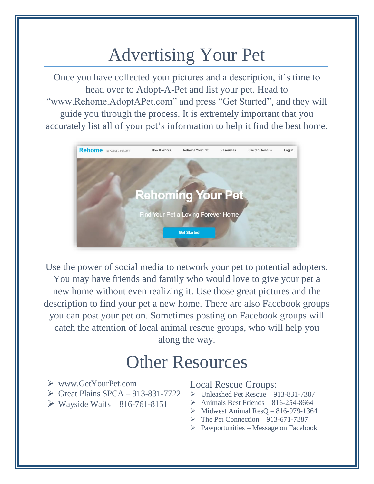# Advertising Your Pet

Once you have collected your pictures and a description, it's time to head over to Adopt-A-Pet and list your pet. Head to "www.Rehome.AdoptAPet.com" and press "Get Started", and they will guide you through the process. It is extremely important that you accurately list all of your pet's information to help it find the best home.



Use the power of social media to network your pet to potential adopters. You may have friends and family who would love to give your pet a new home without even realizing it. Use those great pictures and the description to find your pet a new home. There are also Facebook groups you can post your pet on. Sometimes posting on Facebook groups will catch the attention of local animal rescue groups, who will help you along the way.

### Other Resources

- [www.GetYourPet.com](http://www.getyourpet.com/)
- $\triangleright$  Great Plains SPCA 913-831-7722
- $\triangleright$  Wayside Waifs 816-761-8151

#### Local Rescue Groups:

- $\triangleright$  Unleashed Pet Rescue 913-831-7387
- $\triangleright$  Animals Best Friends 816-254-8664
- $\triangleright$  Midwest Animal ResQ 816-979-1364
- $\triangleright$  The Pet Connection 913-671-7387
- $\triangleright$  Pawportunities Message on Facebook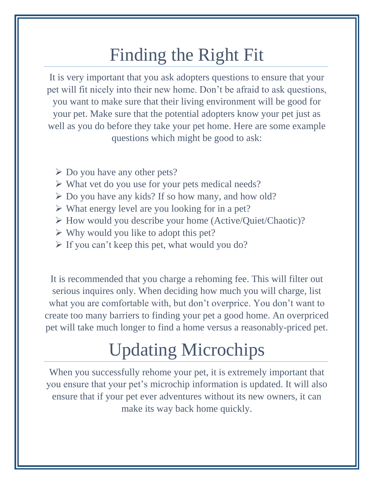# Finding the Right Fit

It is very important that you ask adopters questions to ensure that your pet will fit nicely into their new home. Don't be afraid to ask questions, you want to make sure that their living environment will be good for your pet. Make sure that the potential adopters know your pet just as well as you do before they take your pet home. Here are some example questions which might be good to ask:

- $\triangleright$  Do you have any other pets?
- $\triangleright$  What vet do you use for your pets medical needs?
- $\triangleright$  Do you have any kids? If so how many, and how old?
- $\triangleright$  What energy level are you looking for in a pet?
- How would you describe your home (Active/Quiet/Chaotic)?
- $\triangleright$  Why would you like to adopt this pet?
- $\triangleright$  If you can't keep this pet, what would you do?

It is recommended that you charge a rehoming fee. This will filter out serious inquires only. When deciding how much you will charge, list what you are comfortable with, but don't overprice. You don't want to create too many barriers to finding your pet a good home. An overpriced pet will take much longer to find a home versus a reasonably-priced pet.

# Updating Microchips

When you successfully rehome your pet, it is extremely important that you ensure that your pet's microchip information is updated. It will also ensure that if your pet ever adventures without its new owners, it can make its way back home quickly.